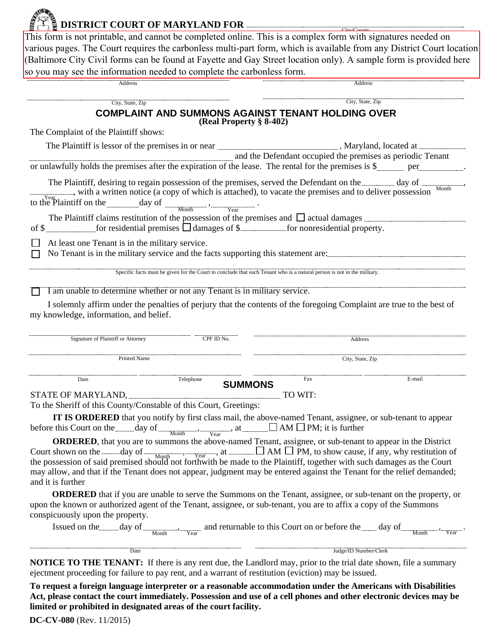|                                                                                                           | This form is not printable, and cannot be completed online. This is a complex form with signatures needed on<br>various pages. The Court requires the carbonless multi-part form, which is available from any District Court location |
|-----------------------------------------------------------------------------------------------------------|---------------------------------------------------------------------------------------------------------------------------------------------------------------------------------------------------------------------------------------|
|                                                                                                           |                                                                                                                                                                                                                                       |
|                                                                                                           | (Baltimore City Civil forms can be found at Fayette and Gay Street location only). A sample form is provided here                                                                                                                     |
| so you may see the information needed to complete the carbonless form.                                    |                                                                                                                                                                                                                                       |
|                                                                                                           | Address                                                                                                                                                                                                                               |
| City, State, Zip                                                                                          | City, State, Zip                                                                                                                                                                                                                      |
|                                                                                                           | <b>COMPLAINT AND SUMMONS AGAINST TENANT HOLDING OVER</b>                                                                                                                                                                              |
|                                                                                                           | (Real Property § 8-402)                                                                                                                                                                                                               |
| The Complaint of the Plaintiff shows:                                                                     |                                                                                                                                                                                                                                       |
|                                                                                                           | The Plaintiff is lessor of the premises in or near <b>manufacture and all properties</b> , Maryland, located at <b>manufacture</b>                                                                                                    |
|                                                                                                           | and the Defendant occupied the premises as periodic Tenant                                                                                                                                                                            |
|                                                                                                           | or unlawfully holds the premises after the expiration of the lease. The rental for the premises is \$                                                                                                                                 |
| with a written notice (a copy of which is attached), to vacate the premises and to deliver possession     | The Plaintiff, desiring to regain possession of the premises, served the Defendant on the day of desiring Month                                                                                                                       |
|                                                                                                           |                                                                                                                                                                                                                                       |
| to the Plaintiff on the $\frac{1}{\frac{1}{\frac{1}{\sqrt{c}}}}$ day of $\frac{1}{\frac{1}{\sqrt{c}}}}$ . |                                                                                                                                                                                                                                       |
|                                                                                                           | The Plaintiff claims restitution of the possession of the premises and $\Box$ actual damages $\Box$                                                                                                                                   |
| of $\frac{1}{2}$ for residential premises $\Box$ damages of $\frac{1}{2}$ for nonresidential property.    |                                                                                                                                                                                                                                       |
| At least one Tenant is in the military service.                                                           |                                                                                                                                                                                                                                       |
|                                                                                                           | No Tenant is in the military service and the facts supporting this statement are:                                                                                                                                                     |
|                                                                                                           | Specific facts must be given for the Court to conclude that each Tenant who is a natural person is not in the military.                                                                                                               |
| I am unable to determine whether or not any Tenant is in military service.                                |                                                                                                                                                                                                                                       |
|                                                                                                           | I solemnly affirm under the penalties of perjury that the contents of the foregoing Complaint are true to the best of                                                                                                                 |

| CPF ID No.<br>Signature of Plaintiff or Attorney                                                                                                                                                                                                                                                                                                                                                                                                                                                                                                                                                                                                                                                                                                                                                                                                 |           |                | Address               |                                                                                                                                                                                                                                                                                                                                                         |  |
|--------------------------------------------------------------------------------------------------------------------------------------------------------------------------------------------------------------------------------------------------------------------------------------------------------------------------------------------------------------------------------------------------------------------------------------------------------------------------------------------------------------------------------------------------------------------------------------------------------------------------------------------------------------------------------------------------------------------------------------------------------------------------------------------------------------------------------------------------|-----------|----------------|-----------------------|---------------------------------------------------------------------------------------------------------------------------------------------------------------------------------------------------------------------------------------------------------------------------------------------------------------------------------------------------------|--|
| <b>Printed Name</b>                                                                                                                                                                                                                                                                                                                                                                                                                                                                                                                                                                                                                                                                                                                                                                                                                              |           |                | City, State, Zip      |                                                                                                                                                                                                                                                                                                                                                         |  |
| Date                                                                                                                                                                                                                                                                                                                                                                                                                                                                                                                                                                                                                                                                                                                                                                                                                                             | Telephone | <b>SUMMONS</b> | Fax                   | E-mail                                                                                                                                                                                                                                                                                                                                                  |  |
| STATE OF MARYLAND, MARYLAND, AND THE TO WIT:                                                                                                                                                                                                                                                                                                                                                                                                                                                                                                                                                                                                                                                                                                                                                                                                     |           |                |                       |                                                                                                                                                                                                                                                                                                                                                         |  |
| To the Sheriff of this County/Constable of this Court, Greetings:                                                                                                                                                                                                                                                                                                                                                                                                                                                                                                                                                                                                                                                                                                                                                                                |           |                |                       |                                                                                                                                                                                                                                                                                                                                                         |  |
| IT IS ORDERED that you notify by first class mail, the above-named Tenant, assignee, or sub-tenant to appear<br>before this Court on the $\frac{day}{M_{\text{both}}}$ of $\frac{M_{\text{both}}}{}$ , $\frac{M_{\text{earth}}}{}$ , at $\frac{M_{\text{both}}}{}$ AM $\Box$ PM; it is further<br><b>ORDERED</b> , that you are to summons the above-named Tenant, assignee, or sub-tenant to appear in the District<br>Court shown on the day of $\frac{N_{\text{opt}}}{N_{\text{opt}}}$ , $\frac{N_{\text{ear}}}{N_{\text{opt}}}$ , at $\Box$ AM $\Box$ PM, to show cause, if any, why restitution of the possession of said premised should not forthwith be made to the Plaintiff, together w<br>may allow, and that if the Tenant does not appear, judgment may be entered against the Tenant for the relief demanded;<br>and it is further |           |                |                       |                                                                                                                                                                                                                                                                                                                                                         |  |
| upon the known or authorized agent of the Tenant, assignee, or sub-tenant, you are to affix a copy of the Summons<br>conspicuously upon the property.                                                                                                                                                                                                                                                                                                                                                                                                                                                                                                                                                                                                                                                                                            |           |                |                       | <b>ORDERED</b> that if you are unable to serve the Summons on the Tenant, assignee, or sub-tenant on the property, or<br>Issued on the day of Month Month and returnable to this Court on or before the day of Month Month Court on the Month Court of the Month Court of the Month Court of the Month Court of the Month Court of the Month Court of t |  |
| Date                                                                                                                                                                                                                                                                                                                                                                                                                                                                                                                                                                                                                                                                                                                                                                                                                                             |           |                | Judge/ID Number/Clerk |                                                                                                                                                                                                                                                                                                                                                         |  |

**NOTICE TO THE TENANT:** If there is any rent due, the Landlord may, prior to the trial date shown, file a summary ejectment proceeding for failure to pay rent, and a warrant of restitution (eviction) may be issued.

**To request a foreign language interpreter or a reasonable accommodation under the Americans with Disabilities Act, please contact the court immediately. Possession and use of a cell phones and other electronic devices may be limited or prohibited in designated areas of the court facility.**

**DC-CV-080** (Rev. 11/2015)